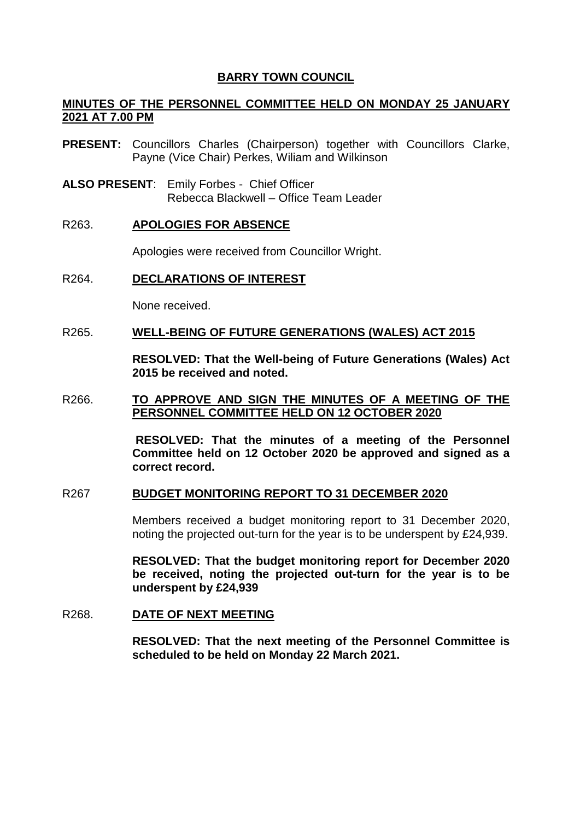### **BARRY TOWN COUNCIL**

## **MINUTES OF THE PERSONNEL COMMITTEE HELD ON MONDAY 25 JANUARY 2021 AT 7.00 PM**

- **PRESENT:** Councillors Charles (Chairperson) together with Councillors Clarke, Payne (Vice Chair) Perkes, Wiliam and Wilkinson
- **ALSO PRESENT**: Emily Forbes Chief Officer Rebecca Blackwell – Office Team Leader

#### R263. **APOLOGIES FOR ABSENCE**

Apologies were received from Councillor Wright.

## R264. **DECLARATIONS OF INTEREST**

None received.

### R265. **WELL-BEING OF FUTURE GENERATIONS (WALES) ACT 2015**

**RESOLVED: That the Well-being of Future Generations (Wales) Act 2015 be received and noted.**

#### R266. **TO APPROVE AND SIGN THE MINUTES OF A MEETING OF THE PERSONNEL COMMITTEE HELD ON 12 OCTOBER 2020**

**RESOLVED: That the minutes of a meeting of the Personnel Committee held on 12 October 2020 be approved and signed as a correct record.** 

#### R267 **BUDGET MONITORING REPORT TO 31 DECEMBER 2020**

Members received a budget monitoring report to 31 December 2020, noting the projected out-turn for the year is to be underspent by £24,939.

**RESOLVED: That the budget monitoring report for December 2020 be received, noting the projected out-turn for the year is to be underspent by £24,939**

### R268. **DATE OF NEXT MEETING**

**RESOLVED: That the next meeting of the Personnel Committee is scheduled to be held on Monday 22 March 2021.**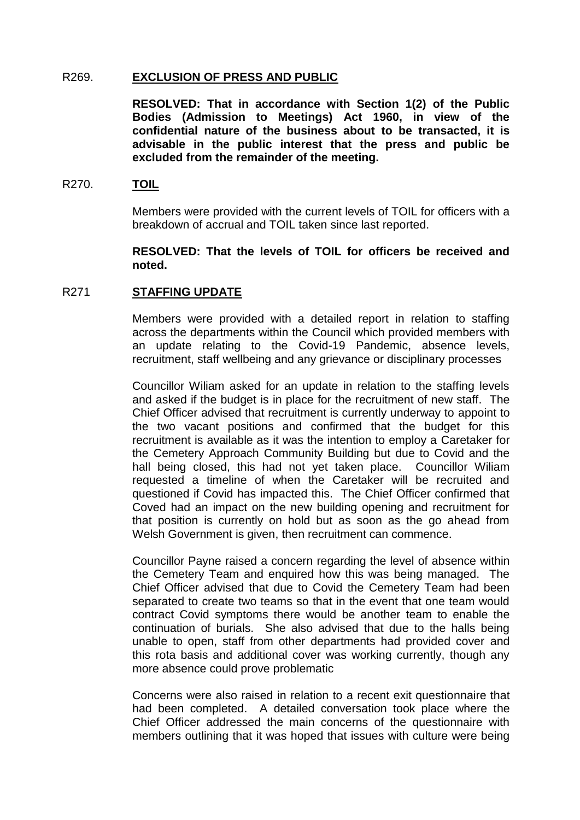### R269. **EXCLUSION OF PRESS AND PUBLIC**

**RESOLVED: That in accordance with Section 1(2) of the Public Bodies (Admission to Meetings) Act 1960, in view of the confidential nature of the business about to be transacted, it is advisable in the public interest that the press and public be excluded from the remainder of the meeting.** 

### R270. **TOIL**

Members were provided with the current levels of TOIL for officers with a breakdown of accrual and TOIL taken since last reported.

## **RESOLVED: That the levels of TOIL for officers be received and noted.**

# R271 **STAFFING UPDATE**

Members were provided with a detailed report in relation to staffing across the departments within the Council which provided members with an update relating to the Covid-19 Pandemic, absence levels, recruitment, staff wellbeing and any grievance or disciplinary processes

Councillor Wiliam asked for an update in relation to the staffing levels and asked if the budget is in place for the recruitment of new staff. The Chief Officer advised that recruitment is currently underway to appoint to the two vacant positions and confirmed that the budget for this recruitment is available as it was the intention to employ a Caretaker for the Cemetery Approach Community Building but due to Covid and the hall being closed, this had not yet taken place. Councillor Wiliam requested a timeline of when the Caretaker will be recruited and questioned if Covid has impacted this. The Chief Officer confirmed that Coved had an impact on the new building opening and recruitment for that position is currently on hold but as soon as the go ahead from Welsh Government is given, then recruitment can commence.

Councillor Payne raised a concern regarding the level of absence within the Cemetery Team and enquired how this was being managed. The Chief Officer advised that due to Covid the Cemetery Team had been separated to create two teams so that in the event that one team would contract Covid symptoms there would be another team to enable the continuation of burials. She also advised that due to the halls being unable to open, staff from other departments had provided cover and this rota basis and additional cover was working currently, though any more absence could prove problematic

Concerns were also raised in relation to a recent exit questionnaire that had been completed. A detailed conversation took place where the Chief Officer addressed the main concerns of the questionnaire with members outlining that it was hoped that issues with culture were being